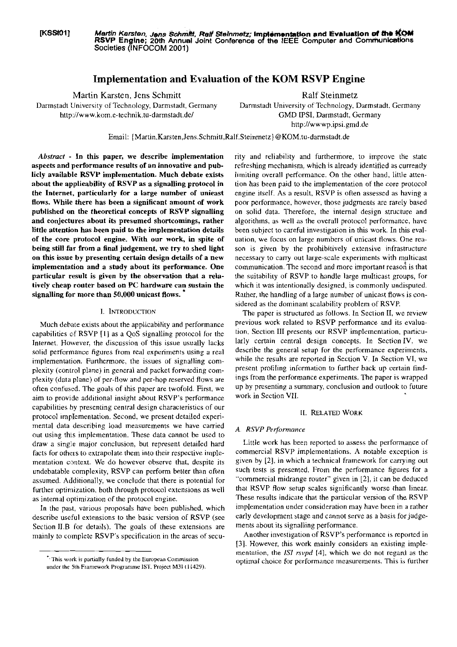[KSSt01] Mertin Karsten, Jens Schmitt, Raff Steinmetz; Implementation and Evaluation of the KOM<br>RSVP Engine; 20th Annual Joint Conference of the IEEE Computer and Communications Societies (INFOCOM 2001)

# **Implementation and Evaluation of the KOM RSVP Engine**

**Positric Relation Controllering Schmitt** Ralf Steinmetz

**http:l/www.kom.e-techniklu-darmstadt.de/** GMD [PSI, Darmstodt, Germany

Darmstadt University of Technology, Darmstadt, Germany Darmstadt University of Technology, Darmstadt. Germany http://wwwp.ipsi.gmd.de

Email: [Martin.Karsten,Jens.Schmitt,Ralf.Steinmetz]@KOM.tu-darmstadt.de

Abstract - In this paper, we describe implementation aspeets and performance results of an innovative and publicly availablie **RSVP** implementation. Much debate exists about the applieabilily of **RSVP** as a signalling protocol in the Internet, particularly for a large number of unieast flows. While there has been a significant amount of work published on the theoretical concepts of **RSVP** signalling and eonjectures about its presumed shortcomings, rather little attention has been paid to the implementation details of the core protocol engine. With our work, in spite of being still far from a final judgement, we try to shed light on this issue by presenting certain design details of a new implementation and a stody about its performance. One particular result is given by the observation that a relatively cheap router based on **PC** hardware can sustain the signalling for more than  $50,000$  unicast flows.

#### I. INTRODUCTION

Much debate exists about the applicability and performance capabilities of RSVP  $[1]$  as a QoS signalling protocol for the Internet. However, the discussion of this issue usually lacks solid performance figures from real experiments using a real implementation. Furthermore, the issues of signalling complexity (control plane) in general and packet forwarding complexity (data plane) of per-How and per-hop reserved Rows are often confused. The goals of this paper are twofold. First, we aim to provide additional insight about RSVP's performance capabilities **by** presenting central design characteristics of our protocol implementation. Second, we present detailed experimental data descrihing load measurements we have carried out using this implementation. These data cannot be used to draw a single major conclusion, but represent detailed hard facts for others to extrapolate them into their respective implementation context. We do however observe that, despite its undebatable complexity. RSVP can perform heiter than often assumed. Addirionally, we conclude that there is potential for further optimization, both through protocol extensions as well as internal optimization of the protocol engine.

In the past, various proposals have been published, which describe useful extensions to the basic version of RSVP (see Section II.B for details). The goals of these extensions are mainly to complete RSVP's specification in the areas of security and reliability and furthemore, to improve the state refreshing mechanism, which is already identified as currently Iimiting overall perforrnance. On the other hand, little attention has been paid to the implementation of the core protocol engine itself. As a result, RSVP is often assessed as having a poor perfomance, however, those judgments are rarely based on solid data. Therefore, the internal design structure and algorithms. as well as the overall protocol performance. have been suhiect to careful investigation in this work. In this evaluation, we focus on large numbers of unicast flows. One reason is given by the prohibitively extensive infrastructure necessary to carry out laige-scale experiments with multicast communication. The second and more important reasoa is that the suitability of RSVP to handle large multicast groups, for which it was intentionally designed, is commonly undisputed. Rather, the handling of a large nurnher of unicast Hows is considered as the dominant scalability problem of RSVP.

The paper is structured as follows. In Section II, we review previous work related 10 RSVP perfomnnce and its evaluation. Section III presents our RSVP implementation, particularly certain central design concepts. In SectionIV, we describe the general setup for the perfomance experiments, while the results are reported in Section V. In Section VI, we present profiling information to further back up certain findings from the performance experiments. The paper is wrapped up by presenting a Summary, conclusion and outlook to future work in Section VII.

#### **II. RELATED WORK**

#### **A.** *RSVP* **Performance**

Little work has been reported to assess the performance of commercial RSVP implementations. A notable exception is given by **[Z],** in which a iechnical framework for carrying out such tests is presented. From the performance figures for a "commercial midrange router" given in [2]; it can be deduced that RSVP Row sctup scaIes significantly worse than linear. These results indicate that the particular version of the RSVP implementation under consideration may have been in a rather early development stage and cannot serve as a basis for judgements about its signalling performance.

Another investigation of RSVP's perforrnance is reported in **[3].** However. this work mainly considers an existing implementation, the *ISI rsvpd* (41, which we do not regard as the optimal choice for perlorrnance measuremenrs. This is further

 $*$  This work is partially funded by the European Commission under the 5th Framework Programme IST, Project M3I (11429).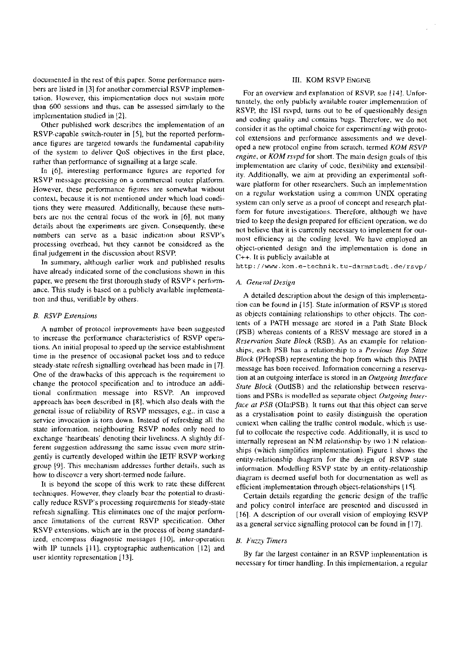documented in the rest of this paper. Some performance num-<br>bers are listed in [3] for another commercial RSVP implemen-<br>**E**or. an overview and explanation of RSVP tation. However, this implementation does not sustain more than 600 sessions and thus, can **be** assessed similarly to the implementation studied in [2].

Other puhlished work describes the implementarion of an RSVP-capable switch-router in [5], but the reported performance figures are targeted towards the fundamental capahility of the system to deliver QoS objectives in the first place, rather than performance of signalling at a large scale.

In [6], interesting performance figures are reported for RSVP message processing on a commercial router platform. However, these performance figures are somewhat without context, because it is not mentioned under which load conditions they were measured. Additionally, because these numbers are not the central focus of the work in  $[6]$ , not many details ahout the cxperiments are given. Consequently. these numhers can serve as a basic indication about RSVP's processing overhead, hut they cannot be considered as the final judgement in the discussion about RSVP.

In summary, although earlier work and published results have already indicated some of the conclusions shown in this paper, we present the first thorough study of RSVP's performance. This study is based on a publicly available implementation and thus, verifiable by others.<br>A detailed description about the design of this implementa-

A number of protocol improvements have been suggested to increase the perfomiance characteristics of RSVP operations. An initial proposal to speed up the service establishment time in the presence of occasional packet loss and to reduce steady-state refresh signalling overhead has been made in [7]. One of the drawbacks of this approach is the requirement to change the protocol specification and to introduce an additional confirmation message into RSVP An improved approach has heen described in **[SI,** which also deals with the general issue of reliability of RSVP messages, e.g., in case a service invocation is torn down. Instead of refreshing all the state information. neighbouring RSVP nodes only need to exchange 'hearrbeats' denoting their IiveIiness. A slightly different suggestion addressing the same issue even more stringently is currently developed within the IETF RSVP working group [9]. This mechanism addresses further details. such as how to discovcr a very short-termed node failure.

It is beyond the scope of this work to rate these different techniques. However, they clearly bear the potential to drastically reduce RSVP's processing requirements ior steady-state refresh signalling. This elirninates one of the major performance limitations of the current RSVP specification. Other RSVP extensions, which are in the process of being standardized, encompass diagnostic messages [10], inter-operation with IP tunnels  $[11]$ , cryptographic authentication  $[12]$  and User identity representation [13].

For an overview and explanation of RSVP, see [14]. Unfortunately, the only publicly available router implementation of RSVP, the ISI rsvpd, turns out to he of questionahly design and coding quality and contains bugs. Therefore, we do not consider it as the optimal choice for experimenting with protocol extensions and perfomance assessments **and** we developed a new protocol engine from scratch, termed KOM RSVP engine, or KOM *rsvpd* for short. The main design goals of this implementation are clarity of code, flexibility and extensibility. Additionally, we aim at providing an experimental software platform for other researchers. Such an implementation on a regular workstation using a common UNIX Operating system can only serve as a proof of concept and research platform for future investigations. Therefore, although we have tried to keep the design prepared for efficient opration, we do not believe that it is currently necessary to implement for outmost efficiency at the coding level. We have employed an objeci-oriented design and the implementation is done in  $C++$ . It is publicly available at

**http://www.kom.e-technik.tu-darmctadt.de/rsvp/** 

#### A. General Design

tion can be found in  $[15]$ . State information of RSVP is stored B. RSVP Extensions as objects containing relationships to other objects. The contents of a PATH niessage are stored in a Path State Block (PSB) whereas contents of a RESV message are stored in a Reservation State Block (RSB). As an example for relationships, each PSB has a relationship to a *Previous Hop State*  $Block$  (PHopSB) representing the hop from which this PATH message has been received. Information concerning a reservation at an outgoing interface is stored in an Outgoing Interface State Block (OutISB) and the relationship between reservations and PSRs is niodelled **as** separate object Ourgoing hirrrface at PSB (OIatPSB). It turns out that this object can serve as a crystalisation point to easily distinguish the operation context when calling the traffic control module, which is useful to collocate the respective code. Additionally, it is uscd to internally represent an N:M relationship by two  $1:N$  relationships (which simplifies implementation). Figure I shows the entity-relationship diagram for the design of RSVP state information. Modelling RSVP state by an entity-relationship diagram is deemed useful hoth for documentation as well as efficient implementation through object-relationships [15].

> Certain details regarding the generic design of the traffic and policy control interface are prescnred and discussed in [16]. A description of our overall vision of employing RSVP as a general service signalling protocol can be found in [I71

# **B.** Fuzzy Timers

By far the largest container in an RSVP implementation is necessary for timer handling. In this implementation, a regular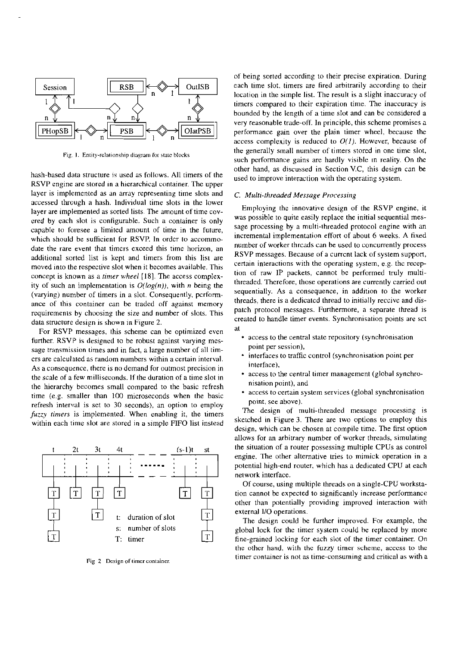

Fig. 1. Entity-relationship diagram for state blocks

RSVP engine are stored in a hierarchical container. The upper layer is implemented as an array representing time slots and accessed through a hash. Individual time slots in the lower layer are implemented as sorted lists. The amount of time covered by each slot is configurable. Such a container is only capable to foresee a limited amount of time in the future, which should be sufficient for RSVP. In order to accommodate the rare event that timcrs exceed this time horizon, an additional sorted list is kept and timers from this list are moved into the respective slot when it becomes availahle. This concept is known as a *timer wheel*  $[18]$ . The access complexity of such an implementation is  $O(log(n))$ , with n being the (varying) nurnber of timers in a slot. Consequently. pcrformance of this container can be traded off against memory requirements hy choosing the size and number of slots. This data structure design is shown in Figure **2.** 

For RSVP messages. ihis scheme can be optimized even further. RSVP is designed to be robust against varying message transmission times and in fact, a large numher of all timcrs are calculated as random numhers within a certain interval. As a consequence, there is no demand for outmost precision in the scale of a few milliseconds. lf the duration of a time slot in the hierarchy becomes small compared to the hasic refresh time (e.g. smaller than 100 microseconds when the hasic refresh interval is set to 30 seconds), an option to employ fuzzy timers is implemented. When enabling it, the timers within each time slot are stored in a simple FlFO list instead



**Fig 2 Desien of** timer container

oi' being sorted according to their precise expiration. During each time slot. timers are fired arbitrarily according to their location in the simple list. The result is a slight inaccuracy of timers compared to their expiration time. The inaccuracy is bounded by the length of a time slot and can be considered a very reasonable trade-off. In principle, this scheme promises a performance gain over the plain timer wheel, because the access complexity is reduced to  $O(I)$ . However, because of the generally small number of timers stored in one time slot, such performance gains are hardly visible in reality. On the other hand, as discussed in SectionVC, this design can he hash-based data structure is used as follows. All timers of the used to improve interaction with the operating system.

# *C. Multi-threaded Message Processing*

Employing the innovative design of the RSVP engine, it was possible to quite easily replace the initial sequential message processing by a multi-threaded protocol engine with an incremental implementation effort of about 6 weeks. A fixed number of worker threads can be used to concurrently process RSVP messages. Because of a currcnt lack of system support, certain interactions with the operating system, eg. thc reception of raw IP packets, cannot be performed truly multithreaded. Therefore, those operations are currently carried out sequentially. As a consequence, in addition to the worker threads, there is a dedicatcd thread to iniiially reccivc and dispatch protocol messages. Furthermore, a separate ihread is created to handle timer events. Synchronisation points are sct at

- access to the central state repository (synchronisation point per session),
- inierfaces to traffic control (synchronisation point per interface),
- access to the central timer management (global synchronisation point), and
- access to certain system services (global synchronisation point. see above).

The design of multi-threaded message processing is sketched in Figure **3.** There are two options to employ this design, which can be chosen at compile time. The first option allows for an arbitrary number of worker threads, simulating the situation of a router possessing multiple CPUs as control engine. The other alternative tries to mimick operation in a potential high-end router, which has a dedicated CPU at each network interface.

Of course, using multiple threads on a single-CPU workstation cannot be expected to significantly increase performance other than potentially providing improved interaction with external I/O operations.

The design could be further improved. For example, the global lock for the timer system could he replaced by more fine-grained locking for each slot of the timer container. On the other hand, with the fuzzy timer scheme, access to the timer container is not as time-consuming and critical as with a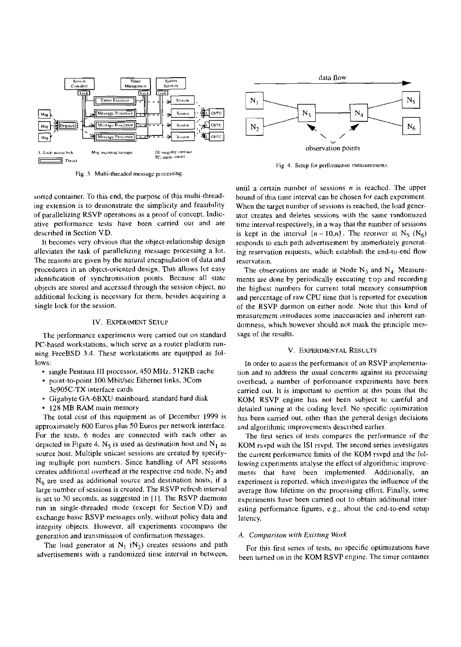

Fig. 3. Multi-threaded message processing.



Fig. 4. Setup for performance measurements.

sorted container. To this end, the purpose of this multi-threading extension is to demonstrate the simplicity and feasibility of parallelizing RSVP operations as a proof of concept. Indicative performance tests have been carried oui and are descrihed in Section V.D.

It becomes very obvious that the object-relationship design alleviates the task of parallelizing message processing a lot. The reasons are given hy the natural encapsulation of data and procedures in an object-oriented design. This allows for easy identification of synchronisation points. Because all sratc objects are stured and accessed through the session object, no additional locking is necessary for them, besides acquiring a single lock for the session.

# IV. EXPERIMENT SETUP

The performance experiments were carried out on standard PC-based workstations, which serve as a router platform running FreeBSD 3.4. These workstations are equipped as follows:

- single Pentium **111** processor, 450 MHz. 512KB cache
- point-to-point 100 Mbit/sec Ethernet links, 3Com 3c905C-TX interface cards
- Gigabyte GA-6BXU mainboard. standard hard disk
- 128 MB **RAM** main memory

The total cost of this cquipment as of Deccmher 1999 is approximately 600 Euros plus 50 Euros per network interface. For the tests. 6 nodes are connected with each other as depicted in Figure 4.  $N<sub>5</sub>$  is used as destination host and  $N<sub>1</sub>$  as source host. Multiple unicast sessions are created by specifying mulliple port numbers. Since handling of API sessions creates additional overhead at the respective end node,  $N_2$  and  $N<sub>6</sub>$  are used as additional source and destination hosts, if a large number of sessions is created. The RSVP refresh interval is set to 30 seconds, as suggested in  $[1]$ . The RSVP daemons run in single-threaded mode (except for SectionVD) and exchange basic RSVP messages only, without policy data and integrity objects. However, all experiments encompass the generation and transmission of confirmation messages.

The load generator at  $N_1$  (N<sub>2</sub>) creates sessions and path advertisements with a randomized time interval in between,

until a certain number of sessions  $n$  is reached. The upper bound of this time interval can be chosen for each experiment. When the target number of sessions is reached, the load generator creates and deletes sessions with the same randomized time interval respectively. in a way that the number of sessions is kept in the interval  $[n-10,n]$ . The receiver at N<sub>5</sub> (N<sub>6</sub>) responds to each path advertisement by immediately generating reservation requests, which establish the end-to-end flow reservation.

The observations are made at Node  $N_3$  and  $N_4$ . Measurements are done by periodically executing top and recording the highest numhers for curreni total memory consumption and percentage of raw CPU time that is reported for execution of the RSVP daemon on either node. Note that this kind uf measurement introduces some inaccuracies and inherent randomness, which however should not mask the principle message of the results.

# V. EXPERIMENTAL RESULTS

In order to assess the performance of an RSVP implementation and to address the usual concerns against its processing overhead, a number of performance experiments have been carried out. It is important to menrion at this poinr that thc KOM RSVP engine has not been suhject to careful and detailed tuning at the coding level. No specific optimization has been carried out, other than the general design decisions and algorithmic improvements described earlier.

The first series of tests compares the performance of the KOM rsvpd with the ISI rsvpd. The second series investigates the current performance limits of the KOM rsvpd and the following cxperiments analyse the effect of algorithmic improvements that have been implemented. Additionally, an experiment is reported; which investigates the influence of the average flow lifetime on the processing effort. Finally, some experiments have bcen carried out to obtain additional interesting performance figures, e.g., about the cnd-to-end setup latency.

#### **A. Coniporisori with** Existing **Work**

For this first series of tests, no spccific optimizations have been turned on in the KOM RSVP engine. The timer container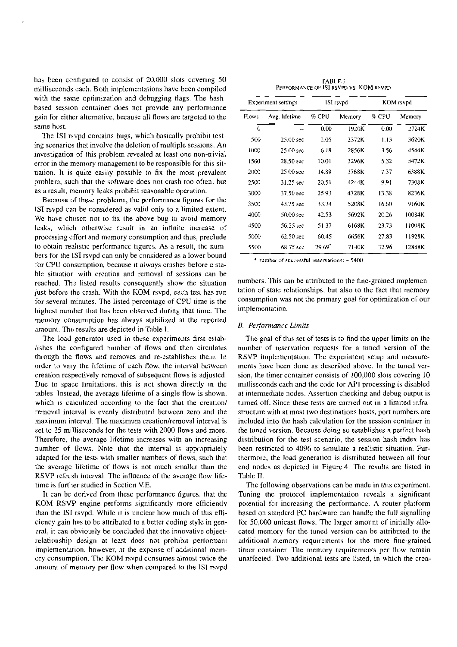has heen configured to consist of *20,000* slots covering *50*  milliseconds each. Both implementations have been compiled with the same optimization and debugging flags. The hashbased session container does not provide any performance gain for either alternative, because all flows are targeted to the same host.

The ISI rsvpd contains bugs, which basically prohibit testing scenarios that involve the deletion of multiple sessions. An investigation of this problem revealed at least one non-trivial error in the memory management to be responsible for this situation. It is quite easily possible to fix the most prevalent problem, such that the software does not crash too often, but as a result, memory leaks prohihit reasonable operation.

Because of these problems, the performance figures for the ISI rsvpd can be considered as valid only to a limited extent. We have chosen not to fix the above bug to avoid memory leaks, which otherwise result in an infinite increase of processing eiFfort and memory consumption and thus, preclude to obtain realistic performance figures. As a result, the numbers for the ISI rsvpd can only be considered as a lower bound for CPU consumption, hecause it always crashes before a stable situation with creation and removal of sessions can be reached. The listed results consequently show the situation just before the crash. With the KOM rsvpd, each test has run for several minutes. The listed percentage of CPU time is the highest number (hat has been observed during that time. The memory consumption has always stabilized at the reported amount. The results are depicted in Table 1.

The load generator used in these experiments first establishes the configured number of Rows and then circulates through the flows and removes and re-establishes them. In order to vary the lifetime of each flow, the interval between creation respectively removal of subsequent flows is adjusted. Due to space limitations. this is not shown directly in the tables. Instead, the average lifetime of a single flow is shown, which is calculated according to the fact that the creation/ removal interval is evenly distributed between Zero and the maximum interval. The maximum creation/removal interval is set to 25 milliseconds for the tests with 2000 flows and more. Therefore, the average lifetime increases with an increasing number of flows. Note that the interval is appropriately adapted for the tests with smaller numbers of flows, such that the average lifetime of flows is not much smallcr than the RSVP refresh interval. The influence of the average flow lifetime is further studied in Section V.E.

It can be derived from these performance figures, that the KOM RSVP engine performs significantly more efficiently than the ISI rsvpd. While it is unclear how much of this efficiency gain has to be attrihuted to a hetter coding style in general, it can obviously be concluded ihat the innovative objeetrelationship design at least does not prohibit performant implementation, however, at the expense of additional memory consumption. The KOM rsvpd consumes almost twice the amount of memory per flow when compared to the ISI rsvpd

| <b>TABLE I</b>                        |  |
|---------------------------------------|--|
| PERFORMANCE OF ISI RSVPD VS KOM RSVPD |  |

|       | <b>Experiment</b> settings |         | ISI rsvpd |       | KOM rsvpd |
|-------|----------------------------|---------|-----------|-------|-----------|
| Flows | Avg. lifetime              | $%$ CPU | Memory    | % CPU | Memory    |
| 0     |                            | 0.00    | 1920K     | 0.00  | 2724K     |
| 500   | $25.00 \text{ sec}$        | 2.05    | 2372K     | 1.13  | 3620K     |
| 1000  | 25.00 sec                  | 6.18    | 2856K     | 3.56  | 4544K     |
| 1500  | 28.50 sec                  | 10.01   | 3296K     | 5.32  | 5472K     |
| 2000  | 25 00 sec                  | 14.89   | 3768K     | 7.37  | 6388K     |
| 2500  | 31.25 sec                  | 20.51   | 4244K     | 9.91  | 7308K     |
| 3000  | 37.50 sec                  | 2593    | 4728K     | 13.38 | 8236K     |
| 3500  | 43.75 sec                  | 33.74   | 5208K     | 16.60 | 9160K     |
| 4000  | 50.00 sec                  | 42.53   | 5692K     | 20.26 | 10084K    |
| 4500  | 56.25 sec                  | 5137    | 6168K     | 23.73 | 11008K    |
| 5000  | 62.50 sec                  | 60.45   | 6656K     | 27.83 | 11928K    |
| 5500  | 68 75 sec                  | 79.69*  | 7140K     | 32.96 | 12848K    |

**nurnber** of succrssful **rescrvaiions:** - <sup>5400</sup>

numbers. This can be attributed to the fine-grained implementation of state relationships, but also to the fact that memory consumption was not the primary goal for optimization of our implementation.

### **B.** Performance Limits

The goal of this set of tests is to find the upper limits on the number of reservation requests for a tuned version ol' the RSVP implementation. The experiment setup and measurements have been donc as described above. In the tuned version, the timer container consists of 100,000 slots covering 10 milliseconds eaeh and the code for API processing is disabled at intermediate nodes. Assertion checking and debug output is rurned off. Since these tests are carried out in a limited infrastructure with at most two destinations hosts, port numbers are included into the hash calculation for the session container in the tuned version. Because doing so establishes a perfcct hash distribution for the test Scenario. the session hash index has been restricted to 4096 to simulate a realistic situation. Furthermore, the Iod generation is distributed between all four end nodes as depicted in Figure 4. The results are listed in Table 11.

The following observations can be made in this experiment. Tuning the protocol implementation reveals a significant potential for increasing the performance. **A** router platform hased On standard PC hardware can handle the full signalling for 50,000 unicast flows. The Iarger amount of initially allocated memory for the tuned version can be attributed to the additional memory requirements for the more fine-grained tirner container The memory requirements per flow remain unaffected. Two additional tests are listed, in which the crea-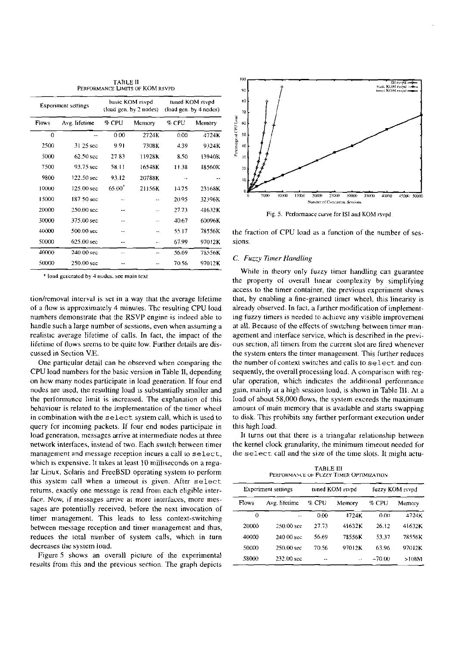|          | <b>Experiment settings</b> | basic KOM rsvpd<br>(load gen. by 2 nodes) |        | tuned KOM rsypd<br>(load gen. by 4 nodes) |        |  |  |
|----------|----------------------------|-------------------------------------------|--------|-------------------------------------------|--------|--|--|
| Flows    | Avg. lifetime              | % CPU                                     | Memory | % CPU                                     | Memory |  |  |
| $\Omega$ |                            | 000                                       | 2724K  | 0.00                                      | 4724K  |  |  |
| 2500     | 31 25 sec                  | 9.91                                      | 7308K  | 4.39                                      | 9324K  |  |  |
| 5000     | 62.50 sec                  | 27.83                                     | 11928K | 8.50                                      | 13940K |  |  |
| 7500     | 93.75 sec                  | 58.11                                     | 16548K | 11.38                                     | 18560K |  |  |
| 9800     | 122.50 sec                 | 93.12                                     | 20788K |                                           |        |  |  |
| 10000    | 125.00 sec                 | $65.00^{*}$                               | 21156K | 1475                                      | 23168K |  |  |
| 15000    | $187.50 \text{ sec}$       |                                           |        | 20.95                                     | 32396K |  |  |
| 20000    | 250.00 sec                 |                                           |        | 27.73                                     | 41632K |  |  |
| 30000    | 375.00 sec                 |                                           |        | 40.67                                     | 60096K |  |  |
| 40000    | 500.00 sec                 |                                           |        | 55.17                                     | 78556K |  |  |
| 50000    | 625.00 sec                 |                                           |        | 67.99                                     | 97012K |  |  |
| 40.00    | 240.00 sec                 |                                           |        | 56.69                                     | 78556K |  |  |
| 50000    | 250.00 sec                 |                                           |        | 70.56                                     | 97012K |  |  |

**TABLE II** PERFORMANCE LIMITS OF KOM RSVPD

\* load generated by 4 nodes, see main text

tion/removal interval is set in a way that the average lifetime of a flow is approximately 4 minutes. The resulting CPU load numbers demonstrate that the RSVP engine is indeed able to handle such a large number of sessions, even when assuming a realistic average lifetime of calls. In fact, the impact of the lifetime of flows seems to be quite low. Further details are discussed in Section V.E.

One particular detail can be observed when comparing the CPU load numbers for the basic version in Table II, depending on how many nodes participate in load generation. If four end nodes are used, the resulting load is substantially smaller and the performance limit is increased. The explanation of this behaviour is related to the implementation of the timer wheel in combination with the select system call, which is used to query for incoming packets. If four end nodes participate in load generation, messages arrive at intermediate nodes at three network interfaces, instead of two. Each switch between timer management and message reception incurs a call to select, which is expensive. It takes at least 10 milliseconds on a regular Linux, Solaris and FreeBSD operating system to perform this system call when a timeout is given. After select returns, exactly one message is read from each eligible interface. Now, if messages arrive at more interfaces, more messages are potentially received, before the next invocation of timer management. This leads to less context-switching between message reception and timer management and thus, reduces the total number of system calls, which in turn decreases the system load.

Figure 5 shows an overall picture of the experimental results from this and the previous section. The graph depicts



Fig. 5. Performance curve for ISI and KOM rsvpd.

the fraction of CPU load as a function of the number of sessions.

# C. Fuzzy Timer Handling

While in theory only fuzzy timer handling can guarantee the property of overall linear complexity by simplifying access to the timer container, the previous experiment shows that, by enabling a fine-grained timer wheel, this linearity is already observed. In fact, a further modification of implementing fuzzy timers is needed to achieve any visible improvement at all. Because of the effects of switching between timer management and interface service, which is described in the previous section, all timers from the current slot are fired whenever the system enters the timer management. This further reduces the number of context switches and calls to select and consequently, the overall processing load. A comparison with regular operation, which indicates the additional performance gain, mainly at a high session load, is shown in Table III. At a load of about 58,000 flows, the system exceeds the maximum amount of main memory that is available and starts swapping to disk. This prohibits any further performant execution under this high load.

It turns out that there is a triangular relationship between the kernel clock granularity, the minimum timeout needed for the select call and the size of the time slots. It might actu-

**TABLE III** PERFORMANCE OF FUZZY TIMER OPTIMIZATION

|              | Experiment settings |         | tuned KOM rsvpd |          | fuzzy KOM rsvpd |
|--------------|---------------------|---------|-----------------|----------|-----------------|
| <b>Flows</b> | Avg. litetime       | $%$ CPU | Memory          | % CPU    | Memory          |
| 0            |                     | 0.00    | 4724K           | 0.00     | 4724K           |
| 20000        | 250.00 sec          | 27.73   | 41632K          | 26.12    | 41632K          |
| 40000        | 240.00 sec          | 56.69   | 78556K          | 53.37    | 78556K          |
| 50000        | 250.00 sec          | 70.56   | 97012K          | 63.96    | 97012K          |
| 58000        | 232.00 sec          | --      |                 | $-70.00$ | $>108$ M        |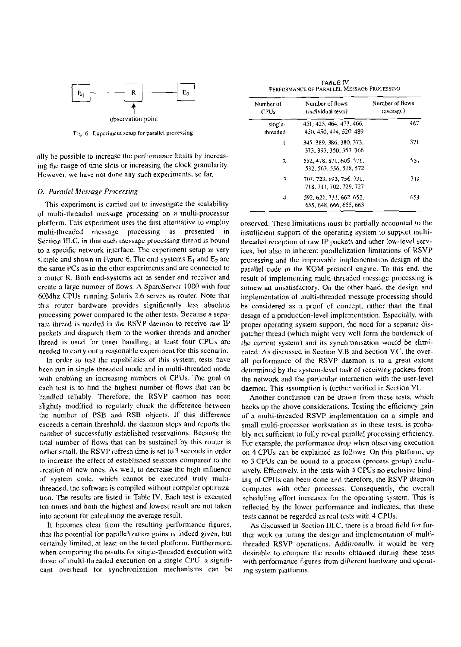

Fig. 6 Experiment setup for parallel processing

ally be possible to increase the performance limits by increasing the range of time slots or increasing the clock granularity. However, we have not done any such experiments, so far.

#### D. Parallel Message Processing

This experiment is carried out to investigate the scalability of multi-threaded message processing on a multi-processor platform. This experiment uses the first alternative to employ multi-threaded message processing as presented in Section III.C, in that each message processing thread is bound to a specific network interface. The experiment setup is very simple and shown in Figure 6. The end-systems  $E_1$  and  $E_2$  are the same PCs as in the other experiments and are connected to a router R. Both end-systems act as sender and receiver and create a large number of flows. A SparcServer 1000 with four 60Mhz CPUs running Solaris 2.6 serves as router. Note that this router hardware provides significantly less absolute processing power compared to the other tests. Because a separate thread is needed in the RSVP daemon to receive raw IP packets and dispatch them to the worker threads and another thread is used for timer handling, at least four CPUs are needed to carry out a reasonable experiment for this scenario.

In order to test the capabilities of this system, tests have been run in single-threaded mode and in multi-threaded mode with enabling an increasing numbers of CPUs. The goal of each test is to find the highest number of flows that can be handled reliably. Therefore, the RSVP daemon has been slightly modified to regularly check the difference between the number of PSB and RSB objects. If this difference exceeds a certain threshold, the daemon stops and reports the number of successfully established reservations. Because the total number of flows that can be sustained by this router is rather small, the RSVP refresh time is set to 3 seconds in order to increase the effect of established sessions compared to the creation of new ones. As well, to decrease the high influence of system code, which cannot be executed truly multithreaded, the software is compiled without compiler optimization. The results are listed in Table IV. Each test is executed ten times and both the highest and lowest result are not taken into account for calculating the average result.

It becomes clear from the resulting performance figures, that the potential for parallelization gains is indeed given, but certainly limited, at least on the tested platform. Furthermore, when comparing the results for single-threaded execution with those of multi-threaded execution on a single CPU, a significant overhead for synchronization mechanisms can be

**TABLE IV** PERFORMANCE OF PARALLEL MESSAGE PROCESSING

| Number of<br><b>CPUs</b> | Number of flows<br>(iudividual tests)               | Number of flows<br>(average) |
|--------------------------|-----------------------------------------------------|------------------------------|
| single-<br>threaded      | 451, 425, 464, 473, 466,<br>450, 450, 494, 520, 489 | 467                          |
|                          | 345, 389, 386, 380, 373,<br>373, 393, 350, 357, 366 | 371                          |
| 2.                       | 552.478.571.605.571.<br>532, 563, 556, 518, 572     | 554                          |
| з                        | 707, 723, 693, 756, 731,<br>718, 711, 702, 729, 727 | 719                          |
| 4                        | 592, 621, 711, 662, 652,<br>655, 648, 666, 655, 663 | 653                          |

observed. These limitations must be partially accounted to the insufficient support of the operating system to support multithreaded reception of raw IP packets and other low-level services, but also to inherent parallelization limitations of RSVP processing and the improvable implementation design of the parallel code in the KOM protocol engine. To this end, the result of implementing multi-threaded message processing is somewhat unsatisfactory. On the other hand, the design and implementation of multi-threaded message processing should be considered as a proof of concept, rather than the final design of a production-level implementation. Especially, with proper operating system support, the need for a separate dispatcher thread (which might very well form the bottleneck of the current system) and its synchronisation would be eliminated. As discussed in Section V.B and Section V.C, the overall performance of the RSVP daemon is to a great extent determined by the system-level task of receiving packets from the network and the particular interaction with the user-level daemon. This assumption is further verified in Section VI.

Another conclusion can be drawn from these tests, which backs up the above considerations. Testing the efficiency gain of a multi-threaded RSVP implementation on a simple and small multi-processor workstation as in these tests, is probably not sufficient to fully reveal parallel processing efficiency. For example, the performance drop when observing execution on 4 CPUs can be explained as follows. On this platform, up to 3 CPUs can be bound to a process (process group) exclusively. Effectively, in the tests with 4 CPUs no exclusive binding of CPUs can been done and therefore, the RSVP daemon competes with other processes. Consequently, the overall scheduling effort increases for the operating system. This is reflected by the lower performance and indicates, that these tests cannot be regarded as real tests with 4 CPUs.

As discussed in Section III.C, there is a broad field for further work on tuning the design and implementation of multithreaded RSVP operations. Additionally, it would be very desirable to compare the results obtained during these tests with performance figures from different hardware and operating system platforms.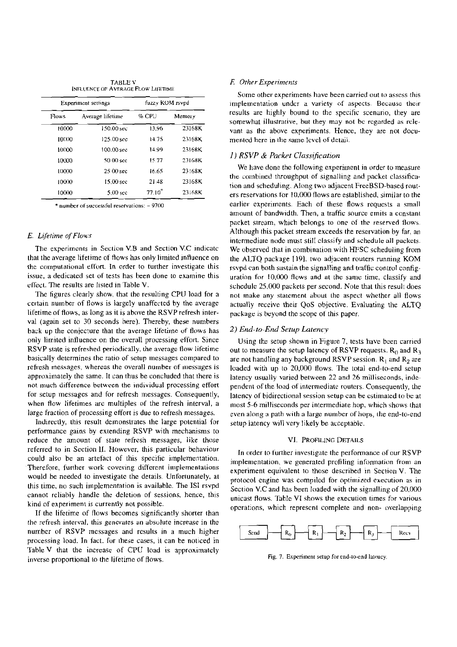**TABLE V** INFLUENCE OF AVERAGE FLOW LIFETIME

| Experiment settings |                  | fuzzy KOM rsvpd |        |
|---------------------|------------------|-----------------|--------|
| Flows               | Average lifetime | $%$ CPU         | Memory |
| 10000               | 150.00 sec       | 13.96           | 23168K |
| 10000               | 125.00 sec       | 14.75           | 23168K |
| 10000               | 100.00 sec       | 14.99           | 23168K |
| 10000               | 50.00 sec        | 15.77           | 23168K |
| 10000               | $2500$ sec.      | 16.65           | 23168K |
| 10000               | 15.00 sec        | 21.48           | 23168K |
| 10000               | 5.00 sec         | $77.10^*$       | 23168K |

\* number of successful reservations: - 9700

# E. Lifetime of Flows

The experiments in Section V.B and Section V.C indicate that the average lifetime of flows has only limited influence on the computational effort. In order to further investigate this issue, a dedicated set of tests has been done to examine this effect. The results are listed in Table V.

The figures clearly show, that the resulting CPU load for a certain number of flows is largely unaffected by the average lifetime of flows, as long as it is above the RSVP refresh interval (again set to 30 seconds here). Thereby, these numbers back up the conjecture that the average lifetime of flows has only limited influence on the overall processing effort. Since RSVP state is refreshed periodically, the average flow lifetime basically determines the ratio of setup messages compared to refresh messages, whereas the overall number of messages is approximately the same. It can thus be concluded that there is not much difference between the individual processing effort for setup messages and for refresh messages. Consequently, when flow lifetimes are multiples of the refresh interval, a large fraction of processing effort is due to refresh messages.

Indirectly, this result demonstrates the large potential for performance gains by extending RSVP with mechanisms to reduce the amount of state refresh messages, like those referred to in Section II. However, this particular behaviour could also be an artefact of this specific implementation. Therefore, further work covering different implementations would be needed to investigate the details. Unfortunately, at this time, no such implementation is available. The ISI rsvpd cannot reliably handle the deletion of sessions, hence, this kind of experiment is currently not possible.

If the lifetime of flows becomes significantly shorter than the refresh interval, this generates an absolute increase in the number of RSVP messages and results in a much higher processing load. In fact, for these cases, it can be noticed in Table V that the increase of CPU load is approximately inverse proportional to the lifetime of flows.

### F. Other Experiments

Some other experiments have been carried out to assess this implementation under a variety of aspects. Because their results are highly bound to the specific scenario, they are somewhat illustrative, but they may not be regarded as relevant as the above experiments. Hence, they are not documented here in the same level of detail.

# 1) RSVP & Packet Classification

We have done the following experiment in order to measure the combined throughput of signalling and packet classification and scheduling. Along two adjacent FreeBSD-based routers reservations for 10,000 flows are established, similar to the earlier experiments. Each of these flows requests a small amount of bandwidth. Then, a traffic source emits a constant packet stream, which belongs to one of the reserved flows. Although this packet stream exceeds the reservation by far, an intermediate node must still classify and schedule all packets. We observed that in combination with HFSC scheduling from the ALTQ package [19], two adjacent routers running KOM rsypd can both sustain the signalling and traffic control configuration for 10,000 flows and at the same time, classify and schedule 25,000 packets per second. Note that this result does not make any statement about the aspect whether all flows actually receive their OoS objective. Evaluating the ALTO package is beyond the scope of this paper.

# 2) End-to-End Setup Latency

Using the setup shown in Figure 7, tests have been carried out to measure the setup latency of RSVP requests.  $R_0$  and  $R_3$ are not handling any background RSVP session.  $R_1$  and  $R_2$  are loaded with up to 20,000 flows. The total end-to-end setup latency usually varied between 22 and 26 milliseconds, independent of the load of intermediate routers. Consequently, the latency of bidirectional session setup can be estimated to be at most 5-6 milliseconds per intermediate hop, which shows that even along a path with a large number of hops, the end-to-end setup latency will very likely be acceptable.

# VI. PROFILING DETAILS

In order to further investigate the performance of our RSVP implementation, we generated profiling information from an experiment equivalent to those described in Section V. The protocol engine was compiled for optimized execution as in Section V.C and has been loaded with the signalling of 20,000 unicast flows. Table VI shows the execution times for various operations, which represent complete and non-overlapping



Fig. 7. Experiment setup for end-to-end lateucy.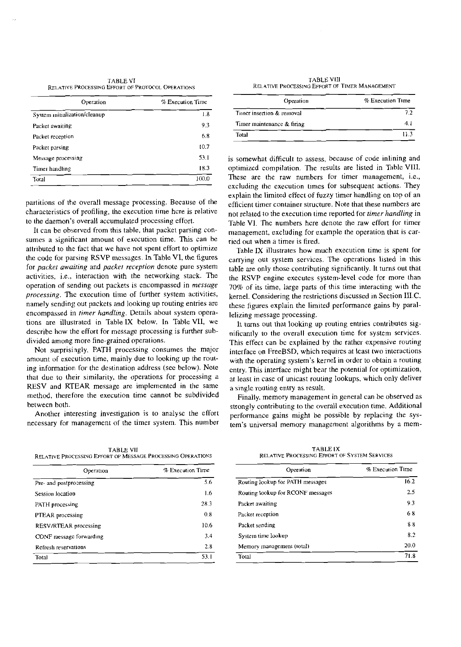**TARIF VI** RELATIVE PROCESSING EFFORT OF PROTOCOL OPERATIONS

| Operation                    | % Execution Time |
|------------------------------|------------------|
| System mitialization/cleanup | 1.8              |
| Packet awaiting              | 9.3              |
| Packet reception             | 6.8              |
| Packet parsing               | 10.7             |
| Message processing           | 53 I             |
| Timer handling               | 18.3             |
| Total                        | 100.0            |

partitions of the overall message processing. Because of the characteristics of profiling, the execution time here is relative to the daemon's overall accumulated processing effort.

It can be observed from this table, that packet parsing consumes a significant amount of execution time. This can be attributed to the fact that we have not spent effort to optimize the code for parsing RSVP messages. In Table VI, the figures for packet awaiting and packet reception denote pure system activities, *i.e.*, interaction with the networking stack. The operation of sending out packets is encompassed in message processing. The execution time of further system activities, namely sending out packets and looking up routing entries are encompassed in timer handling. Details about system operations are illustrated in Table IX below. In Table VII, we describe how the effort for message processing is further subdivided among more fine-grained operations.

Not surprisingly, PATH processing consumes the major amount of execution time, mainly due to looking up the routing information for the destination address (see below). Note that due to their similarity, the operations for processing a RESV and RTEAR message are implemented in the same method, therefore the execution time cannot be subdivided between both.

Another interesting investigation is to analyse the effort necessary for management of the timer system. This number

**TABLE VIII** RELATIVE PROCESSING EFFORT OF TIMER MANAGEMENT

| % Execution Time |
|------------------|
| 72               |
| 4 I              |
| 113              |
|                  |

is somewhat difficult to assess, because of code inlining and optimized compilation. The results are listed in Table VIII. These are the raw numbers for timer management, i.e., excluding the execution times for subsequent actions. They explain the limited effect of fuzzy timer handling on top of an efficient timer container structure. Note that these numbers are not related to the execution time reported for *timer handling* in Table VI. The numbers here denote the raw effort for timer management, excluding for example the operation that is carried out when a timer is fired.

Table IX illustrates how much execution time is spent for carrying out system services. The operations listed in this table are only those contributing significantly. It turns out that the RSVP engine executes system-level code for more than 70% of its time, large parts of this time interacting with the kernel. Considering the restrictions discussed in Section III.C. these figures explain the limited performance gains by parallelizing message processing.

It turns out that looking up routing entries contributes significantly to the overall execution time for system services. This effect can be explained by the rather expensive routing interface on FreeBSD, which requires at least two interactions with the operating system's kernel in order to obtain a routing entry. This interface might bear the potential for optimization, at least in case of unicast routing lookups, which only deliver a single routing entry as result.

Finally, memory management in general can be observed as strongly contributing to the overall execution time. Additional performance gains might be possible by replacing the system's universal memory management algorithms by a mem-

| TABLE VII                                                   |  |
|-------------------------------------------------------------|--|
| RELATIVE PROCESSING EFFORT OF MESSAGE PROCESSING OPERATION: |  |

| Operation               | $%$ Execution Time |
|-------------------------|--------------------|
| Pre- and postprocessing | 5.6                |
| Session location        | 1.6                |
| PATH processing         | 28.3               |
| PTEAR processing        | 0.8                |
| RESV/RTEAR processing   | 10.6               |
| CONF message forwarding | 3.4                |
| Refresh reservations    | 2.8                |
| <b>Total</b>            | 53.1               |

TABLE IX RELATIVE PROCESSING EFFORT OF SYSTEM SERVICES

| Operation                         | % Execution Time |
|-----------------------------------|------------------|
| Routing lookup for PATH messages  | 16.2             |
| Routing lookup for RCONF messages | 2.5              |
| Packet awaiting                   | 9.3              |
| Packet reception                  | 68               |
| Packet sending                    | 88               |
| System time lookup                | 8.2              |
| Memory management (total)         | 20.0             |
| Total                             | 71.8             |